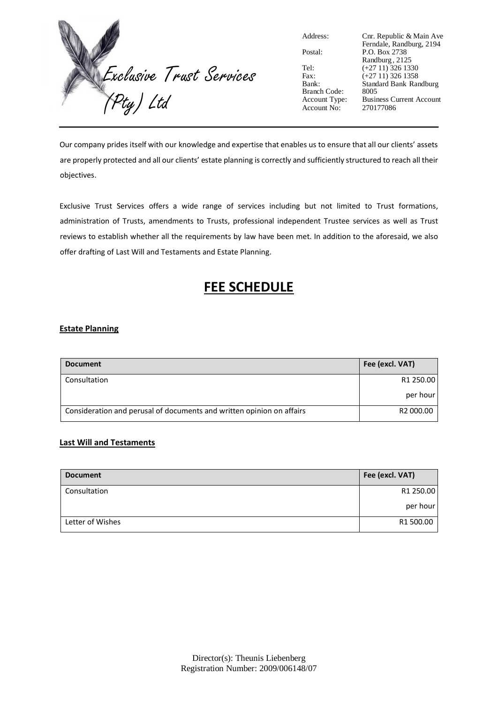

| Address |  |
|---------|--|
|         |  |

Branch Code:<br>Account Type: Account  $N_0$ :

Address: Cnr. Republic & Main Ave Ferndale, Randburg, 2194 Postal: P.O. Box 2738 Randburg , 2125 Tel:  $(+27 11) 326 1330$ <br>Fax:  $(+27 11) 326 1358$ (+27 11) 326 1358 Bank: Standard Bank Randburg Business Current Account<br>270177086

Our company prides itself with our knowledge and expertise that enables us to ensure that all our clients' assets are properly protected and all our clients' estate planning is correctly and sufficiently structured to reach all their objectives.

Exclusive Trust Services offers a wide range of services including but not limited to Trust formations, administration of Trusts, amendments to Trusts, professional independent Trustee services as well as Trust reviews to establish whether all the requirements by law have been met. In addition to the aforesaid, we also offer drafting of Last Will and Testaments and Estate Planning.

## **FEE SCHEDULE**

## **Estate Planning**

| <b>Document</b>                                                       | Fee (excl. VAT) |
|-----------------------------------------------------------------------|-----------------|
| Consultation                                                          | R1 250.00       |
|                                                                       | per hour        |
| Consideration and perusal of documents and written opinion on affairs | R2 000.00       |

## **Last Will and Testaments**

| <b>Document</b>  | Fee (excl. VAT) |
|------------------|-----------------|
| Consultation     | R1 250.00       |
|                  | per hour        |
| Letter of Wishes | R1 500.00       |